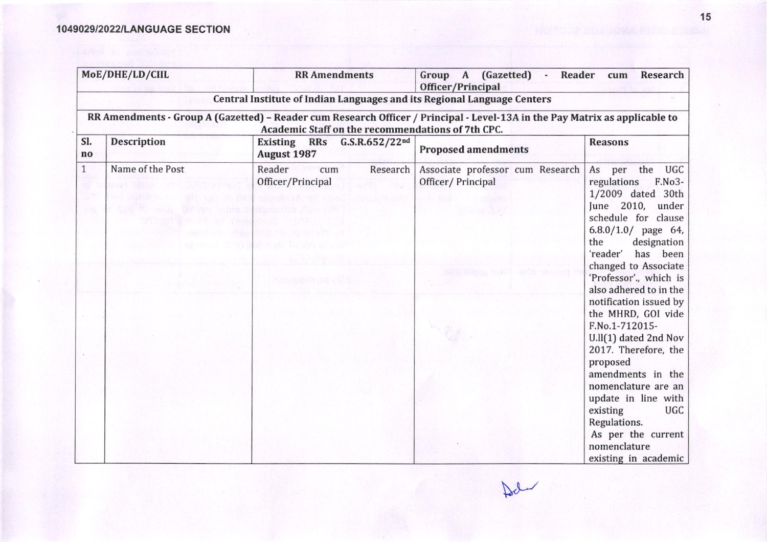## 1049029/2022/LANGUAGE SECTION

| MoE/DHE/LD/CIIL      |                                                                                                                                                                                  | <b>RR</b> Amendments                                                    | (Gazetted) -<br>Group A<br>Reader<br>Research<br>cum<br>Officer/Principal |                                                                                                                                                                                                                                                                                                                                                                                                                                                                                                                                                 |  |  |  |  |
|----------------------|----------------------------------------------------------------------------------------------------------------------------------------------------------------------------------|-------------------------------------------------------------------------|---------------------------------------------------------------------------|-------------------------------------------------------------------------------------------------------------------------------------------------------------------------------------------------------------------------------------------------------------------------------------------------------------------------------------------------------------------------------------------------------------------------------------------------------------------------------------------------------------------------------------------------|--|--|--|--|
|                      |                                                                                                                                                                                  | Central Institute of Indian Languages and its Regional Language Centers |                                                                           |                                                                                                                                                                                                                                                                                                                                                                                                                                                                                                                                                 |  |  |  |  |
|                      | RR Amendments - Group A (Gazetted) - Reader cum Research Officer / Principal - Level-13A in the Pay Matrix as applicable to<br>Academic Staff on the recommendations of 7th CPC. |                                                                         |                                                                           |                                                                                                                                                                                                                                                                                                                                                                                                                                                                                                                                                 |  |  |  |  |
| SI.<br>$\mathbf{no}$ | <b>Description</b>                                                                                                                                                               | <b>Existing</b><br><b>RRs</b><br>G.S.R.652/22nd<br><b>August 1987</b>   | <b>Proposed amendments</b>                                                | <b>Reasons</b>                                                                                                                                                                                                                                                                                                                                                                                                                                                                                                                                  |  |  |  |  |
| $\mathbf{1}$<br>15 G | Name of the Post                                                                                                                                                                 | Reader<br>cum<br>Research<br>Officer/Principal<br>카스 2012년 4204 호텔 20   | Associate professor cum Research<br>Officer/Principal                     | the UGC<br>As per<br>regulations<br>F.No3-<br>1/2009 dated 30th<br>June 2010, under<br>schedule for clause<br>$6.8.0/1.0/$ page 64,<br>designation<br>the<br>'reader'<br>has been<br>changed to Associate<br>'Professor'., which is<br>also adhered to in the<br>notification issued by<br>the MHRD, GOI vide<br>F.No.1-712015-<br>U.ll(1) dated 2nd Nov<br>2017. Therefore, the<br>proposed<br>amendments in the<br>nomenclature are an<br>update in line with<br>existing<br><b>UGC</b><br>Regulations.<br>As per the current<br>nomenclature |  |  |  |  |

15

 $\mathbb{R}$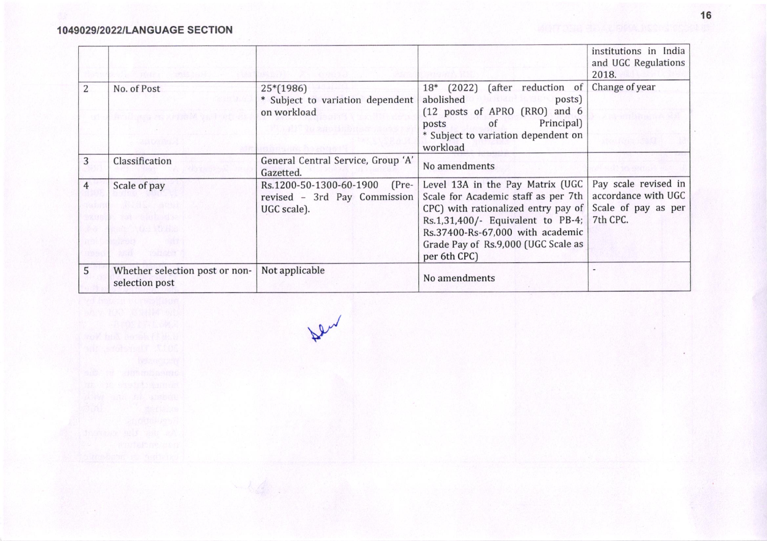## 1049029/2022/LANGUAGE SECTION

|                                   |                                                                          |                                                                                      |                                                                                                                                                                                                                                                | institutions in India<br>and UGC Regulations<br>2018.                          |
|-----------------------------------|--------------------------------------------------------------------------|--------------------------------------------------------------------------------------|------------------------------------------------------------------------------------------------------------------------------------------------------------------------------------------------------------------------------------------------|--------------------------------------------------------------------------------|
| 2                                 | No. of Post<br>Best Discounts of the property of the first               | $25*(1986)$<br>* Subject to variation dependent<br>on workload<br>taliti ta agustada | 18* (2022) (after reduction of<br>abolished<br>posts)<br>(12 posts of APRO (RRO) and 6<br>Principal)<br>posts of<br>* Subject to variation dependent on<br>workload                                                                            | Change of year                                                                 |
| 3                                 | Classification                                                           | General Central Service, Group 'A'<br>Gazetted.                                      | No amendments                                                                                                                                                                                                                                  |                                                                                |
| $\overline{4}$<br>3208<br>1295590 | Scale of pay<br><b>ALCOHOL: 2008</b><br><b>Therefore</b><br>10 2 3 1 1 1 | $(Pre-$<br>Rs.1200-50-1300-60-1900<br>revised - 3rd Pay Commission<br>UGC scale).    | Level 13A in the Pay Matrix (UGC<br>Scale for Academic staff as per 7th<br>CPC) with rationalized entry pay of<br>Rs.1,31,400/- Equivalent to PB-4;<br>Rs.37400-Rs-67,000 with academic<br>Grade Pay of Rs.9,000 (UGC Scale as<br>per 6th CPC) | Pay scale revised in<br>accordance with UGC<br>Scale of pay as per<br>7th CPC. |
| 5                                 | Whether selection post or non-<br>selection post                         | Not applicable                                                                       | No amendments                                                                                                                                                                                                                                  |                                                                                |

 $\mathcal{V}$ 

16